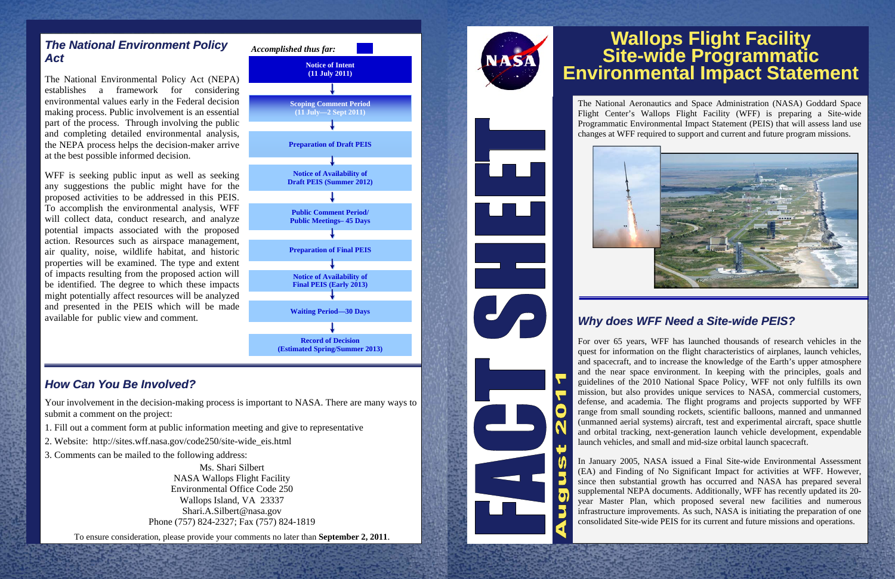#### *The National Environment Policy Act*

The National Environmental Policy Act (NEPA) establishes a framework for considering environmental values early in the Federal decision making process. Public involvement is an essential part of the process. Through involving the public and completing detailed environmental analysis, the NEPA process helps the decision-maker arrive at the best possible informed decision.

WFF is seeking public input as well as seeking any suggestions the public might have for the proposed activities to be addressed in this PEIS. To accomplish the environmental analysis, WFF will collect data, conduct research, and analyze potential impacts associated with the proposed action. Resources such as airspace management, air quality, noise, wildlife habitat, and historic properties will be examined. The type and extent of impacts resulting from the proposed action will be identified. The degree to which these impacts might potentially affect resources will be analyzed and presented in the PEIS which will be made available for public view and comment.

#### *How Can You Be Involved?*

Your involvement in the decision-making process is important to NASA. There are many ways to submit a comment on the project:

- 1. Fill out a comment form at public information meeting and give to representative
- 2. Website: http://sites.wff.nasa.gov/code250/site-wide\_eis.html
- 3. Comments can be mailed to the following address:

Ms. Shari Silbert NASA Wallops Flight Facility Environmental Office Code 250 Wallops Island, VA 23337 Shari.A.Silbert@nasa.gov Phone (757) 824-2327; Fax (757) 824-1819

To ensure consideration, please provide your comments no later than **September 2, 2011**.





The National Aeronautics and Space Administration (NASA) Goddard Space Flight Center's Wallops Flight Facility (WFF) is preparing a Site-wide Programmatic Environmental Impact Statement (PEIS) that will assess land use changes at WFF required to support and current and future program missions.



## *Why does WFF Need a Site -wide PEIS?*

For over 65 years, WFF has launched thousands of research vehicles in the quest for information on the flight characteristics of airplanes, launch vehicles, and spacecraft, and to increase the knowledge of the Earth's upper atmosphere and the near space environment. In keeping with the principles, goals and guidelines of the 2010 National Space Policy, WFF not only fulfills its own mission, but also provides unique services to NASA, commercial customers, defense, and academia. The flight programs and projects supported by WFF range from small sounding rockets, scientific balloons, manned and unmanned (unmanned aerial systems) aircraft, test and experimental aircraft, space shuttle and orbital tracking, next-generation launch vehicle development, expendable launch vehicles, and small and mid-size orbital launch spacecraft.

In January 2005, NASA issued a Final Site-wide Environmental Assessment (EA) and Finding of No Significant Impact for activities at WFF. However, since then substantial growth has occurred and NASA has prepared several supplemental NEPA documents. Additionally, WFF has recently updated its 20 year Master Plan, which proposed several new facilities and numerous infrastructure improvements. As such, NASA is initiating the preparation of one consolidated Site-wide PEIS for its current and future missions and operations.

# **Wallops Flight Facility Site -wide Programmatic Environmental Impact Statement**